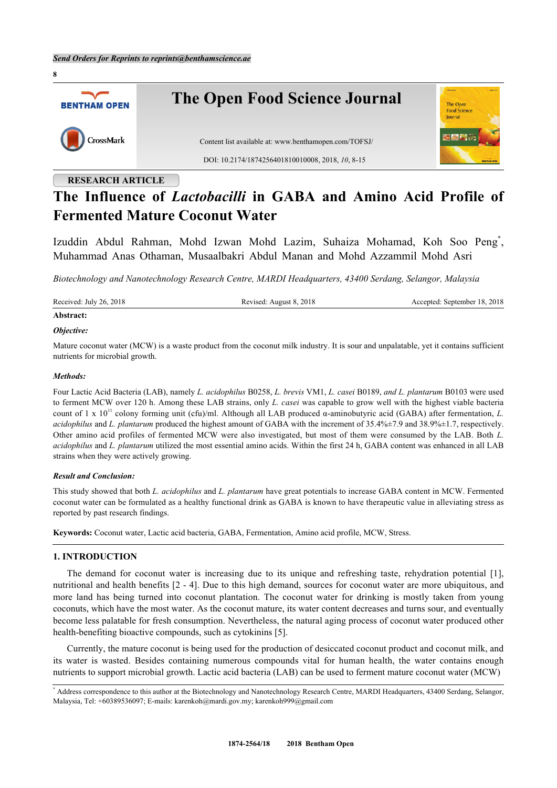

# **RESEARCH ARTICLE**

# **The Influence of** *Lactobacilli* **in GABA and Amino Acid Profile of Fermented Mature Coconut Water**

Izuddin Abdul Rahman, Mohd Izwan Mohd Lazim, Suhaiza Mohamad, Koh Soo Peng[\\*](#page-0-0) , Muhammad Anas Othaman, Musaalbakri Abdul Manan and Mohd Azzammil Mohd Asri

*Biotechnology and Nanotechnology Research Centre, MARDI Headquarters, 43400 Serdang, Selangor, Malaysia*

Received: July 26, 2018 Revised: August 8, 2018 Accepted: September 18, 2018

#### **Abstract:**

#### *Objective:*

Mature coconut water (MCW) is a waste product from the coconut milk industry. It is sour and unpalatable, yet it contains sufficient nutrients for microbial growth.

#### *Methods:*

Four Lactic Acid Bacteria (LAB), namely *L. acidophilus* B0258, *L. brevis* VM1, *L. casei* B0189, *and L. plantarum* B0103 were used to ferment MCW over 120 h. Among these LAB strains, only *L. casei* was capable to grow well with the highest viable bacteria count of 1 x 10<sup>11</sup> colony forming unit (cfu)/ml. Although all LAB produced α-aminobutyric acid (GABA) after fermentation, *L*. *acidophilus* and *L. plantarum* produced the highest amount of GABA with the increment of 35.4%±7.9 and 38.9%±1.7, respectively. Other amino acid profiles of fermented MCW were also investigated, but most of them were consumed by the LAB. Both *L. acidophilus* and *L. plantarum* utilized the most essential amino acids. Within the first 24 h, GABA content was enhanced in all LAB strains when they were actively growing.

## *Result and Conclusion:*

This study showed that both *L. acidophilus* and *L. plantarum* have great potentials to increase GABA content in MCW. Fermented coconut water can be formulated as a healthy functional drink as GABA is known to have therapeutic value in alleviating stress as reported by past research findings.

**Keywords:** Coconut water, Lactic acid bacteria, GABA, Fermentation, Amino acid profile, MCW, Stress.

# **1. INTRODUCTION**

The demand for coconut water is increasing due to its unique and refreshing taste, rehydration potential[[1\]](#page-5-0), nutritional and health benefits [[2](#page-6-0) - [4](#page-6-1)]. Due to this high demand, sources for coconut water are more ubiquitous, and more land has being turned into coconut plantation. The coconut water for drinking is mostly taken from young coconuts, which have the most water. As the coconut mature, its water content decreases and turns sour, and eventually become less palatable for fresh consumption. Nevertheless, the natural aging process of coconut water produced other health-benefiting bioactive compounds, such as cytokinins [[5\]](#page-6-2).

Currently, the mature coconut is being used for the production of desiccated coconut product and coconut milk, and its water is wasted. Besides containing numerous compounds vital for human health, the water contains enough nutrients to support microbial growth. Lactic acid bacteria (LAB) can be used to ferment mature coconut water (MCW)

<span id="page-0-0"></span><sup>\*</sup> Address correspondence to this author at the Biotechnology and Nanotechnology Research Centre, MARDI Headquarters, 43400 Serdang, Selangor, Malaysia, Tel: +60389536097; E-mails: [karenkoh@mardi.gov.my;](mailto:karenkoh@mardi.gov.my) [karenkoh999@gmail.com](mailto:karenkoh999@gmail.com)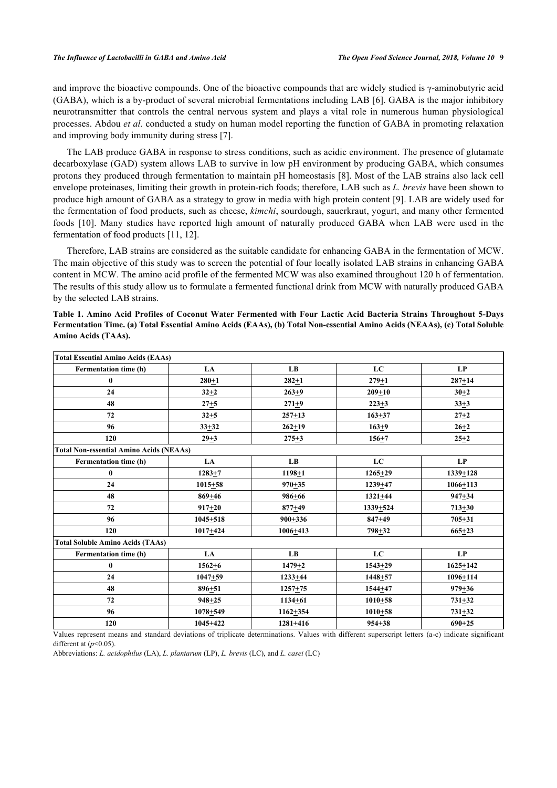and improve the bioactive compounds. One of the bioactive compounds that are widely studied is γ-aminobutyric acid (GABA), which is a by-product of several microbial fermentations including LAB [\[6\]](#page-6-3). GABA is the major inhibitory neurotransmitter that controls the central nervous system and plays a vital role in numerous human physiological processes. Abdou *et al.* conducted a study on human model reporting the function of GABA in promoting relaxation and improving body immunity during stress [\[7](#page-6-4)].

The LAB produce GABA in response to stress conditions, such as acidic environment. The presence of glutamate decarboxylase (GAD) system allows LAB to survive in low pH environment by producing GABA, which consumes protons they produced through fermentation to maintain pH homeostasis [[8](#page-6-5)]. Most of the LAB strains also lack cell envelope proteinases, limiting their growth in protein-rich foods; therefore, LAB such as *L. brevis* have been shown to produce high amount of GABA as a strategy to grow in media with high protein content [\[9](#page-6-6)]. LAB are widely used for the fermentation of food products, such as cheese, *kimchi*, sourdough, sauerkraut, yogurt, and many other fermented foods[[10](#page-6-7)]. Many studies have reported high amount of naturally produced GABA when LAB were used in the fermentation of food products [\[11](#page-6-8), [12](#page-6-9)].

Therefore, LAB strains are considered as the suitable candidate for enhancing GABA in the fermentation of MCW. The main objective of this study was to screen the potential of four locally isolated LAB strains in enhancing GABA content in MCW. The amino acid profile of the fermented MCW was also examined throughout 120 h of fermentation. The results of this study allow us to formulate a fermented functional drink from MCW with naturally produced GABA by the selected LAB strains.

<span id="page-1-0"></span>**Table 1. Amino Acid Profiles of Coconut Water Fermented with Four Lactic Acid Bacteria Strains Throughout 5-Days Fermentation Time. (a) Total Essential Amino Acids (EAAs), (b) Total Non-essential Amino Acids (NEAAs), (c) Total Soluble Amino Acids (TAAs).**

| <b>Total Essential Amino Acids (EAAs)</b>      |              |              |              |              |
|------------------------------------------------|--------------|--------------|--------------|--------------|
| Fermentation time (h)                          | LA           | LB           | LC           | LP           |
| $\boldsymbol{0}$                               | $280 + 1$    | $282 + 1$    | $279 + 1$    | $287 + 14$   |
| 24                                             | $32 + 2$     | $263 + 9$    | $209 + 10$   | $30 + 2$     |
| 48                                             | $27 + 5$     | $271 + 9$    | $223 + 3$    | $33 + 3$     |
| 72                                             | $32 + 5$     | $257 + 13$   | $163 + 37$   | $27 + 2$     |
| 96                                             | $33 + 32$    | $262 + 19$   | $163 + 9$    | $26 + 2$     |
| 120                                            | $29 + 3$     | $275 + 3$    | $156 + 7$    | $25 + 2$     |
| <b>Total Non-essential Amino Acids (NEAAs)</b> |              |              |              |              |
| <b>Fermentation time (h)</b>                   | LA           | LB           | LC           | LP           |
| $\bf{0}$                                       | $1283 + 7$   | $1198 + 1$   | $1265 + 29$  | $1339 + 128$ |
| 24                                             | $1015 + 58$  | $970 + 35$   | 1239+47      | $1066 + 113$ |
| 48                                             | $869 + 46$   | $986 + 66$   | $1321 + 44$  | $947 + 34$   |
| 72                                             | $917 + 20$   | $877 + 49$   | $1339 + 524$ | $713 + 30$   |
| 96                                             | $1045 + 518$ | $900 + 336$  | $847 + 49$   | $705 + 31$   |
| 120                                            | $1017 + 424$ | $1006 + 413$ | $798 + 32$   | $665 + 23$   |
| <b>Total Soluble Amino Acids (TAAs)</b>        |              |              |              |              |
| <b>Fermentation time (h)</b>                   | LA           | LB           | LC           | LP           |
| $\bf{0}$                                       | $1562 + 6$   | $1479 + 2$   | $1543 + 29$  | $1625 + 142$ |
| 24                                             | $1047 + 59$  | $1233 + 44$  | $1448 + 57$  | 1096+114     |
| 48                                             | $896 + 51$   | $1257 + 75$  | $1544 + 47$  | $979 + 36$   |
| 72                                             | $948 + 25$   | $1134 + 61$  | $1010 + 58$  | $731 + 32$   |
| 96                                             | $1078 + 549$ | $1162 + 354$ | $1010 + 58$  | $731 + 32$   |
| 120                                            | $1045 + 422$ | $1281 + 416$ | $954 + 38$   | $690 + 25$   |

Values represent means and standard deviations of triplicate determinations. Values with different superscript letters (a-c) indicate significant different at (*p*<0.05).

Abbreviations: *L. acidophilus* (LA), *L. plantarum* (LP), *L. brevis* (LC), and *L. casei* (LC)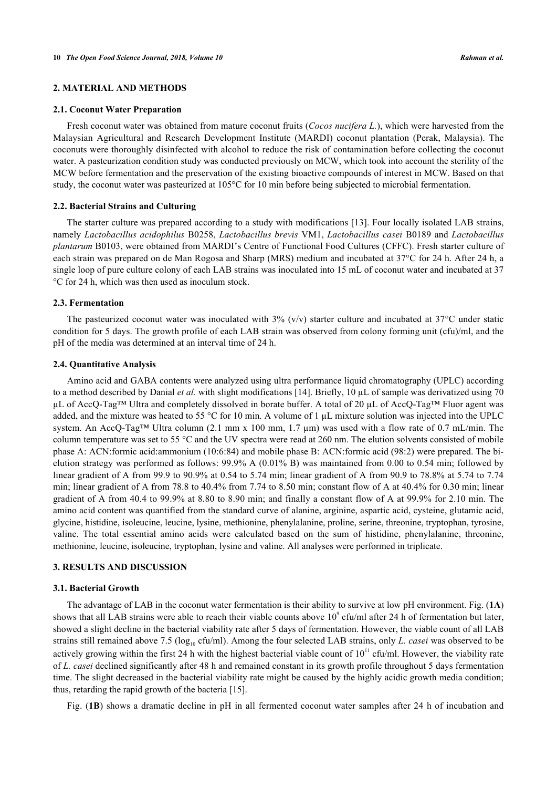# **2. MATERIAL AND METHODS**

#### **2.1. Coconut Water Preparation**

Fresh coconut water was obtained from mature coconut fruits (*Cocos nucifera L.*), which were harvested from the Malaysian Agricultural and Research Development Institute (MARDI) coconut plantation (Perak, Malaysia). The coconuts were thoroughly disinfected with alcohol to reduce the risk of contamination before collecting the coconut water. A pasteurization condition study was conducted previously on MCW, which took into account the sterility of the MCW before fermentation and the preservation of the existing bioactive compounds of interest in MCW. Based on that study, the coconut water was pasteurized at 105°C for 10 min before being subjected to microbial fermentation.

#### **2.2. Bacterial Strains and Culturing**

The starter culture was prepared according to a study with modifications [[13](#page-6-10)]. Four locally isolated LAB strains, namely *Lactobacillus acidophilus* B0258, *Lactobacillus brevis* VM1, *Lactobacillus casei* B0189 and *Lactobacillus plantarum* B0103, were obtained from MARDI's Centre of Functional Food Cultures (CFFC). Fresh starter culture of each strain was prepared on de Man Rogosa and Sharp (MRS) medium and incubated at 37°C for 24 h. After 24 h, a single loop of pure culture colony of each LAB strains was inoculated into 15 mL of coconut water and incubated at 37 °C for 24 h, which was then used as inoculum stock.

# **2.3. Fermentation**

The pasteurized coconut water was inoculated with  $3\%$  (v/v) starter culture and incubated at  $37^{\circ}$ C under static condition for 5 days. The growth profile of each LAB strain was observed from colony forming unit (cfu)/ml, and the pH of the media was determined at an interval time of 24 h.

#### **2.4. Quantitative Analysis**

Amino acid and GABA contents were analyzed using ultra performance liquid chromatography (UPLC) according to a method described by Danial *et al.* with slight modifications [\[14](#page-6-11)]. Briefly, 10 µL of sample was derivatized using 70 µL of AccQ-Tag™ Ultra and completely dissolved in borate buffer. A total of 20 µL of AccQ-Tag™ Fluor agent was added, and the mixture was heated to 55 °C for 10 min. A volume of 1  $\mu$ L mixture solution was injected into the UPLC system. An AccQ-Tag™ Ultra column (2.1 mm x 100 mm, 1.7  $\mu$ m) was used with a flow rate of 0.7 mL/min. The column temperature was set to 55 °C and the UV spectra were read at 260 nm. The elution solvents consisted of mobile phase A: ACN:formic acid:ammonium (10:6:84) and mobile phase B: ACN:formic acid (98:2) were prepared. The bielution strategy was performed as follows: 99.9% A (0.01% B) was maintained from 0.00 to 0.54 min; followed by linear gradient of A from 99.9 to 90.9% at 0.54 to 5.74 min; linear gradient of A from 90.9 to 78.8% at 5.74 to 7.74 min; linear gradient of A from 78.8 to 40.4% from 7.74 to 8.50 min; constant flow of A at 40.4% for 0.30 min; linear gradient of A from 40.4 to 99.9% at 8.80 to 8.90 min; and finally a constant flow of A at 99.9% for 2.10 min. The amino acid content was quantified from the standard curve of alanine, arginine, aspartic acid, cysteine, glutamic acid, glycine, histidine, isoleucine, leucine, lysine, methionine, phenylalanine, proline, serine, threonine, tryptophan, tyrosine, valine. The total essential amino acids were calculated based on the sum of histidine, phenylalanine, threonine, methionine, leucine, isoleucine, tryptophan, lysine and valine. All analyses were performed in triplicate.

# **3. RESULTS AND DISCUSSION**

#### **3.1. Bacterial Growth**

The advantage of LAB in the coconut water fermentation is their ability to survive at low pH environment. Fig. (**[1A](#page-3-0)**) shows that all LAB strains were able to reach their viable counts above  $10^{\circ}$  cfu/ml after 24 h of fermentation but later, showed a slight decline in the bacterial viability rate after 5 days of fermentation. However, the viable count of all LAB strains still remained above 7.5 (log<sub>10</sub> cfu/ml). Among the four selected LAB strains, only *L. casei* was observed to be actively growing within the first 24 h with the highest bacterial viable count of  $10^{11}$  cfu/ml. However, the viability rate of *L. casei* declined significantly after 48 h and remained constant in its growth profile throughout 5 days fermentation time. The slight decreased in the bacterial viability rate might be caused by the highly acidic growth media condition; thus, retarding the rapid growth of the bacteria [[15\]](#page-6-12).

Fig. (**[1B](#page-3-0)**) shows a dramatic decline in pH in all fermented coconut water samples after 24 h of incubation and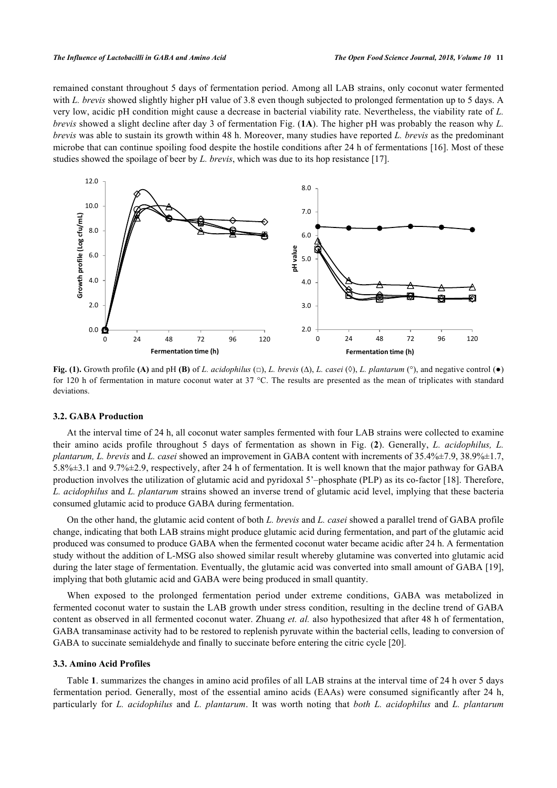remained constant throughout 5 days of fermentation period. Among all LAB strains, only coconut water fermented with *L. brevis* showed slightly higher pH value of 3.8 even though subjected to prolonged fermentation up to 5 days. A very low, acidic pH condition might cause a decrease in bacterial viability rate. Nevertheless, the viability rate of *L. brevis* showed a slight decline after day 3 of fermentation Fig. (**[1A](#page-3-0)**). The higher pH was probably the reason why *L. brevis* was able to sustain its growth within 48 h. Moreover, many studies have reported *L. brevis* as the predominant microbe that can continue spoiling food despite the hostile conditions after 24 h of fermentations [\[16\]](#page-6-13). Most of these studies showed the spoilage of beer by *L. brevis*, which was due to its hop resistance [[17\]](#page-6-14).

<span id="page-3-0"></span>

**Fig. (1).** Growth profile **(A)** and pH **(B)** of *L. acidophilus* (□), *L. brevis* ( $\Delta$ ), *L. casei* ( $\Diamond$ ), *L. plantarum* ( $\degree$ ), and negative control ( $\bullet$ ) for 120 h of fermentation in mature coconut water at 37  $^{\circ}$ C. The results are presented as the mean of triplicates with standard deviations.

#### **3.2. GABA Production**

At the interval time of 24 h, all coconut water samples fermented with four LAB strains were collected to examine their amino acids profile throughout 5 days of fermentation as shown in Fig. (**[2](#page-4-0)**). Generally, *L. acidophilus, L. plantarum, L. brevis* and *L. casei* showed an improvement in GABA content with increments of 35.4%±7.9, 38.9%±1.7, 5.8%±3.1 and 9.7%±2.9, respectively, after 24 h of fermentation. It is well known that the major pathway for GABA production involves the utilization of glutamic acid and pyridoxal 5'–phosphate (PLP) as its co-factor [\[18\]](#page-6-15). Therefore, *L. acidophilus* and *L. plantarum* strains showed an inverse trend of glutamic acid level, implying that these bacteria consumed glutamic acid to produce GABA during fermentation.

On the other hand, the glutamic acid content of both *L. brevis* and *L. casei* showed a parallel trend of GABA profile change, indicating that both LAB strains might produce glutamic acid during fermentation, and part of the glutamic acid produced was consumed to produce GABA when the fermented coconut water became acidic after 24 h. A fermentation study without the addition of L-MSG also showed similar result whereby glutamine was converted into glutamic acid during the later stage of fermentation. Eventually, the glutamic acid was converted into small amount of GABA [[19\]](#page-6-16), implying that both glutamic acid and GABA were being produced in small quantity.

When exposed to the prolonged fermentation period under extreme conditions, GABA was metabolized in fermented coconut water to sustain the LAB growth under stress condition, resulting in the decline trend of GABA content as observed in all fermented coconut water. Zhuang *et. al.* also hypothesized that after 48 h of fermentation, GABA transaminase activity had to be restored to replenish pyruvate within the bacterial cells, leading to conversion of GABA to succinate semialdehyde and finally to succinate before entering the citric cycle [[20\]](#page-6-17).

#### **3.3. Amino Acid Profiles**

Table **[1](#page-1-0)**. summarizes the changes in amino acid profiles of all LAB strains at the interval time of 24 h over 5 days fermentation period. Generally, most of the essential amino acids (EAAs) were consumed significantly after 24 h, particularly for *L. acidophilus* and *L. plantarum*. It was worth noting that *both L. acidophilus* and *L. plantarum*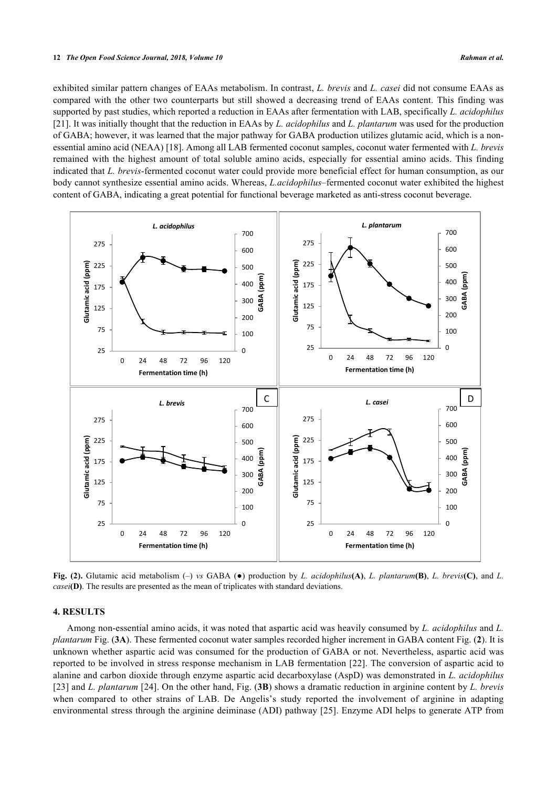exhibited similar pattern changes of EAAs metabolism. In contrast, *L. brevis* and *L. casei* did not consume EAAs as compared with the other two counterparts but still showed a decreasing trend of EAAs content. This finding was supported by past studies, which reported a reduction in EAAs after fermentation with LAB, specifically *L. acidophilus* [\[21](#page-6-18)]. It was initially thought that the reduction in EAAs by *L. acidophilus* and *L. plantarum* was used for the production of GABA; however, it was learned that the major pathway for GABA production utilizes glutamic acid, which is a nonessential amino acid (NEAA) [[18\]](#page-6-15). Among all LAB fermented coconut samples, coconut water fermented with *L. brevis* remained with the highest amount of total soluble amino acids, especially for essential amino acids. This finding indicated that *L. brevis*-fermented coconut water could provide more beneficial effect for human consumption, as our body cannot synthesize essential amino acids. Whereas, *L.acidophilus*–fermented coconut water exhibited the highest content of GABA, indicating a great potential for functional beverage marketed as anti-stress coconut beverage.

<span id="page-4-0"></span>

**Fig. (2).** Glutamic acid metabolism (–) *vs* GABA (●) production by *L. acidophilus***(A)**, *L. plantarum***(B)**, *L. brevis***(C)**, and *L. casei***(D)**. The results are presented as the mean of triplicates with standard deviations.

#### **4. RESULTS**

Among non-essential amino acids, it was noted that aspartic acid was heavily consumed by *L. acidophilus* and *L. plantarum* Fig. (**[3A](#page-5-1)**). These fermented coconut water samples recorded higher increment in GABA content Fig. (**[2](#page-4-0)**). It is unknown whether aspartic acid was consumed for the production of GABA or not. Nevertheless, aspartic acid was reported to be involved in stress response mechanism in LAB fermentation [[22](#page-7-0)]. The conversion of aspartic acid to alanine and carbon dioxide through enzyme aspartic acid decarboxylase (AspD) was demonstrated in *L. acidophilus* [\[23](#page-7-1)] and *L. plantarum* [[24](#page-7-2)]. On the other hand, Fig. (**[3B](#page-5-1)**) shows a dramatic reduction in arginine content by *L. brevis* when compared to other strains of LAB. De Angelis's study reported the involvement of arginine in adapting environmental stress through the arginine deiminase (ADI) pathway [[25](#page-7-3)]. Enzyme ADI helps to generate ATP from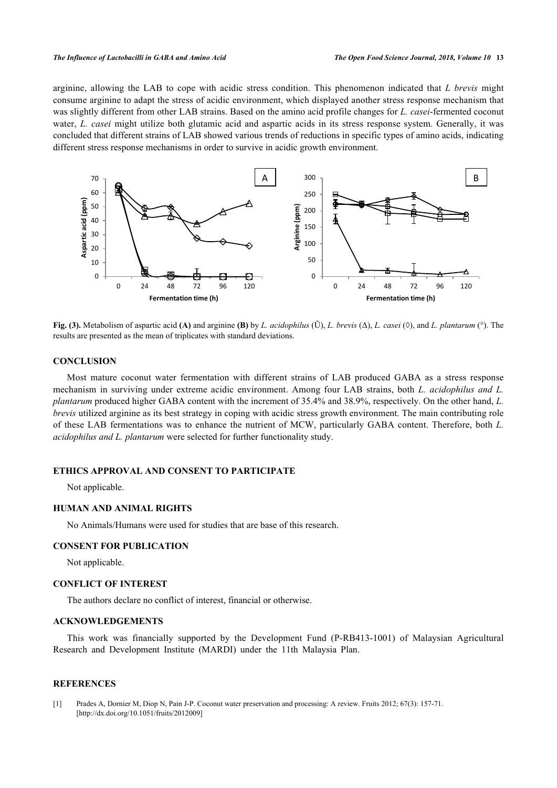arginine, allowing the LAB to cope with acidic stress condition. This phenomenon indicated that *L brevis* might consume arginine to adapt the stress of acidic environment, which displayed another stress response mechanism that was slightly different from other LAB strains. Based on the amino acid profile changes for *L. casei*-fermented coconut water, *L. casei* might utilize both glutamic acid and aspartic acids in its stress response system. Generally, it was concluded that different strains of LAB showed various trends of reductions in specific types of amino acids, indicating different stress response mechanisms in order to survive in acidic growth environment.

<span id="page-5-1"></span>

**Fig. (3).** Metabolism of aspartic acid **(A)** and arginine **(B)** by *L. acidophilus* (Ũ), *L. brevis* (Δ), *L. casei* (◊), and *L. plantarum* (°). The results are presented as the mean of triplicates with standard deviations.

# **CONCLUSION**

Most mature coconut water fermentation with different strains of LAB produced GABA as a stress response mechanism in surviving under extreme acidic environment. Among four LAB strains, both *L. acidophilus and L. plantarum* produced higher GABA content with the increment of 35.4% and 38.9%, respectively. On the other hand, *L. brevis* utilized arginine as its best strategy in coping with acidic stress growth environment. The main contributing role of these LAB fermentations was to enhance the nutrient of MCW, particularly GABA content. Therefore, both *L. acidophilus and L. plantarum* were selected for further functionality study.

# **ETHICS APPROVAL AND CONSENT TO PARTICIPATE**

Not applicable.

# **HUMAN AND ANIMAL RIGHTS**

No Animals/Humans were used for studies that are base of this research.

# **CONSENT FOR PUBLICATION**

Not applicable.

#### **CONFLICT OF INTEREST**

The authors declare no conflict of interest, financial or otherwise.

# **ACKNOWLEDGEMENTS**

This work was financially supported by the Development Fund (P-RB413-1001) of Malaysian Agricultural Research and Development Institute (MARDI) under the 11th Malaysia Plan.

# **REFERENCES**

<span id="page-5-0"></span>[1] Prades A, Dornier M, Diop N, Pain J-P. Coconut water preservation and processing: A review. Fruits 2012; 67(3): 157-71. [\[http://dx.doi.org/10.1051/fruits/2012009\]](http://dx.doi.org/10.1051/fruits/2012009)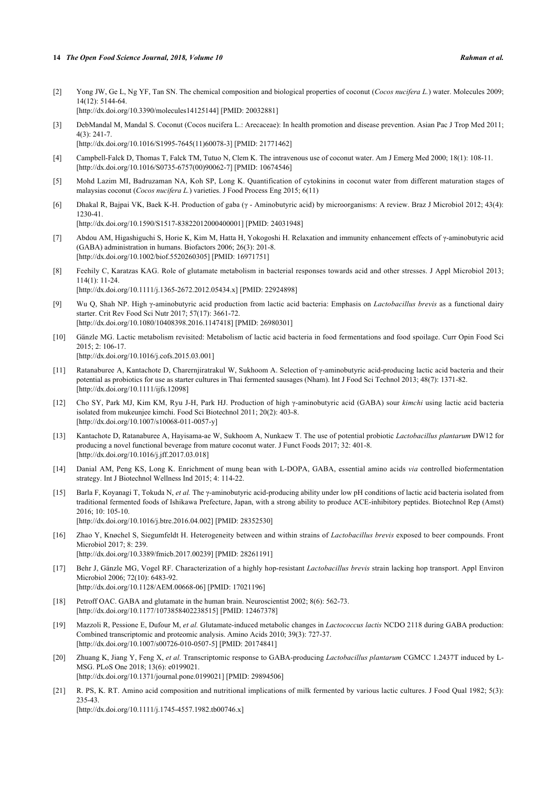- <span id="page-6-0"></span>[2] Yong JW, Ge L, Ng YF, Tan SN. The chemical composition and biological properties of coconut (*Cocos nucifera L.*) water. Molecules 2009; 14(12): 5144-64. [\[http://dx.doi.org/10.3390/molecules14125144](http://dx.doi.org/10.3390/molecules14125144)] [PMID: [20032881\]](http://www.ncbi.nlm.nih.gov/pubmed/20032881)
- [3] DebMandal M, Mandal S. Coconut (Cocos nucifera L.: Arecaceae): In health promotion and disease prevention. Asian Pac J Trop Med 2011; 4(3): 241-7. [\[http://dx.doi.org/10.1016/S1995-7645\(11\)60078-3\]](http://dx.doi.org/10.1016/S1995-7645(11)60078-3) [PMID: [21771462](http://www.ncbi.nlm.nih.gov/pubmed/21771462)]
- <span id="page-6-1"></span>[4] Campbell-Falck D, Thomas T, Falck TM, Tutuo N, Clem K. The intravenous use of coconut water. Am J Emerg Med 2000; 18(1): 108-11. [\[http://dx.doi.org/10.1016/S0735-6757\(00\)90062-7\]](http://dx.doi.org/10.1016/S0735-6757(00)90062-7) [PMID: [10674546](http://www.ncbi.nlm.nih.gov/pubmed/10674546)]
- <span id="page-6-2"></span>[5] Mohd Lazim MI, Badruzaman NA, Koh SP, Long K. Quantification of cytokinins in coconut water from different maturation stages of malaysias coconut (*Cocos nucifera L.*) varieties. J Food Process Eng 2015; 6(11)
- <span id="page-6-3"></span>[6] Dhakal R, Bajpai VK, Baek K-H. Production of gaba (γ - Aminobutyric acid) by microorganisms: A review. Braz J Microbiol 2012; 43(4): 1230-41. [\[http://dx.doi.org/10.1590/S1517-83822012000400001\]](http://dx.doi.org/10.1590/S1517-83822012000400001) [PMID: [24031948](http://www.ncbi.nlm.nih.gov/pubmed/24031948)]
- <span id="page-6-4"></span>[7] Abdou AM, Higashiguchi S, Horie K, Kim M, Hatta H, Yokogoshi H. Relaxation and immunity enhancement effects of γ-aminobutyric acid (GABA) administration in humans. Biofactors 2006; 26(3): 201-8. [\[http://dx.doi.org/10.1002/biof.5520260305\]](http://dx.doi.org/10.1002/biof.5520260305) [PMID: [16971751](http://www.ncbi.nlm.nih.gov/pubmed/16971751)]
- <span id="page-6-5"></span>[8] Feehily C, Karatzas KAG. Role of glutamate metabolism in bacterial responses towards acid and other stresses. J Appl Microbiol 2013; 114(1): 11-24. [\[http://dx.doi.org/10.1111/j.1365-2672.2012.05434.x\]](http://dx.doi.org/10.1111/j.1365-2672.2012.05434.x) [PMID: [22924898](http://www.ncbi.nlm.nih.gov/pubmed/22924898)]
- <span id="page-6-6"></span>[9] Wu Q, Shah NP. High γ-aminobutyric acid production from lactic acid bacteria: Emphasis on *Lactobacillus brevis* as a functional dairy starter. Crit Rev Food Sci Nutr 2017; 57(17): 3661-72. [\[http://dx.doi.org/10.1080/10408398.2016.1147418\]](http://dx.doi.org/10.1080/10408398.2016.1147418) [PMID: [26980301](http://www.ncbi.nlm.nih.gov/pubmed/26980301)]
- <span id="page-6-7"></span>[10] Gänzle MG. Lactic metabolism revisited: Metabolism of lactic acid bacteria in food fermentations and food spoilage. Curr Opin Food Sci 2015; 2: 106-17. [\[http://dx.doi.org/10.1016/j.cofs.2015.03.001](http://dx.doi.org/10.1016/j.cofs.2015.03.001)]
- <span id="page-6-8"></span>[11] Ratanaburee A, Kantachote D, Charernjiratrakul W, Sukhoom A. Selection of γ-aminobutyric acid-producing lactic acid bacteria and their potential as probiotics for use as starter cultures in Thai fermented sausages (Nham). Int J Food Sci Technol 2013; 48(7): 1371-82. [\[http://dx.doi.org/10.1111/ijfs.12098](http://dx.doi.org/10.1111/ijfs.12098)]
- <span id="page-6-9"></span>[12] Cho SY, Park MJ, Kim KM, Ryu J-H, Park HJ. Production of high γ-aminobutyric acid (GABA) sour *kimchi* using lactic acid bacteria isolated from mukeunjee kimchi. Food Sci Biotechnol 2011; 20(2): 403-8. [\[http://dx.doi.org/10.1007/s10068-011-0057-y\]](http://dx.doi.org/10.1007/s10068-011-0057-y)
- <span id="page-6-10"></span>[13] Kantachote D, Ratanaburee A, Hayisama-ae W, Sukhoom A, Nunkaew T. The use of potential probiotic *Lactobacillus plantarum* DW12 for producing a novel functional beverage from mature coconut water. J Funct Foods 2017; 32: 401-8. [\[http://dx.doi.org/10.1016/j.jff.2017.03.018\]](http://dx.doi.org/10.1016/j.jff.2017.03.018)
- <span id="page-6-11"></span>[14] Danial AM, Peng KS, Long K. Enrichment of mung bean with L-DOPA, GABA, essential amino acids *via* controlled biofermentation strategy. Int J Biotechnol Wellness Ind 2015; 4: 114-22.
- <span id="page-6-12"></span>[15] Barla F, Koyanagi T, Tokuda N, *et al.* The γ-aminobutyric acid-producing ability under low pH conditions of lactic acid bacteria isolated from traditional fermented foods of Ishikawa Prefecture, Japan, with a strong ability to produce ACE-inhibitory peptides. Biotechnol Rep (Amst) 2016; 10: 105-10. [\[http://dx.doi.org/10.1016/j.btre.2016.04.002](http://dx.doi.org/10.1016/j.btre.2016.04.002)] [PMID: [28352530](http://www.ncbi.nlm.nih.gov/pubmed/28352530)]
- <span id="page-6-13"></span>[16] Zhao Y, Knøchel S, Siegumfeldt H. Heterogeneity between and within strains of *Lactobacillus brevis* exposed to beer compounds. Front Microbiol 2017; 8: 239. [\[http://dx.doi.org/10.3389/fmicb.2017.00239](http://dx.doi.org/10.3389/fmicb.2017.00239)] [PMID: [28261191](http://www.ncbi.nlm.nih.gov/pubmed/28261191)]
- <span id="page-6-14"></span>[17] Behr J, Gänzle MG, Vogel RF. Characterization of a highly hop-resistant *Lactobacillus brevis* strain lacking hop transport. Appl Environ Microbiol 2006; 72(10): 6483-92. [\[http://dx.doi.org/10.1128/AEM.00668-06](http://dx.doi.org/10.1128/AEM.00668-06)] [PMID: [17021196\]](http://www.ncbi.nlm.nih.gov/pubmed/17021196)
- <span id="page-6-15"></span>[18] Petroff OAC. GABA and glutamate in the human brain. Neuroscientist 2002; 8(6): 562-73. [\[http://dx.doi.org/10.1177/1073858402238515\]](http://dx.doi.org/10.1177/1073858402238515) [PMID: [12467378](http://www.ncbi.nlm.nih.gov/pubmed/12467378)]
- <span id="page-6-16"></span>[19] Mazzoli R, Pessione E, Dufour M, *et al.* Glutamate-induced metabolic changes in *Lactococcus lactis* NCDO 2118 during GABA production: Combined transcriptomic and proteomic analysis. Amino Acids 2010; 39(3): 727-37. [\[http://dx.doi.org/10.1007/s00726-010-0507-5\]](http://dx.doi.org/10.1007/s00726-010-0507-5) [PMID: [20174841](http://www.ncbi.nlm.nih.gov/pubmed/20174841)]
- <span id="page-6-17"></span>[20] Zhuang K, Jiang Y, Feng X, *et al.* Transcriptomic response to GABA-producing *Lactobacillus plantarum* CGMCC 1.2437T induced by L-MSG. PLoS One 2018; 13(6): e0199021. [\[http://dx.doi.org/10.1371/journal.pone.0199021](http://dx.doi.org/10.1371/journal.pone.0199021)] [PMID: [29894506\]](http://www.ncbi.nlm.nih.gov/pubmed/29894506)
- <span id="page-6-18"></span>[21] R. PS, K. RT. Amino acid composition and nutritional implications of milk fermented by various lactic cultures. J Food Qual 1982; 5(3): 235-43. [\[http://dx.doi.org/10.1111/j.1745-4557.1982.tb00746.x\]](http://dx.doi.org/10.1111/j.1745-4557.1982.tb00746.x)